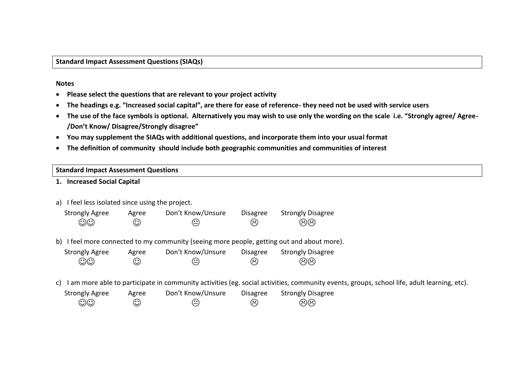**Standard Impact Assessment Questions (SIAQs)**

#### **Notes**

- **Please select the questions that are relevant to your project activity**
- **The headings e.g. "Increased social capital", are there for ease of reference- they need not be used with service users**
- **The use of the face symbols is optional. Alternatively you may wish to use only the wording on the scale i.e. "Strongly agree/ Agree- /Don't Know/ Disagree/Strongly disagree"**
- **You may supplement the SIAQs with additional questions, and incorporate them into your usual format**
- **The definition of community should include both geographic communities and communities of interest**

### **Standard Impact Assessment Questions**

- **1. Increased Social Capital**
- a) I feel less isolated since using the project.

| <b>Strongly Agree</b> | Agree   | Don't Know/Unsure | Disagree                   | <b>Strongly Disagree</b> |  |
|-----------------------|---------|-------------------|----------------------------|--------------------------|--|
| $\odot$ O             | $\odot$ | $\odot$           | $\left(\ddot{\sim}\right)$ | $\circledcirc$           |  |

b) I feel more connected to my community (seeing more people, getting out and about more).

| <b>Strongly Agree</b> | Agree   | Don't Know/Unsure | <b>Disagree</b> | <b>Strongly Disagree</b> |
|-----------------------|---------|-------------------|-----------------|--------------------------|
| $\odot$ O             | $\odot$ | $\odot$           | $\odot$         | ගිහි                     |

c) I am more able to participate in community activities (eg. social activities, community events, groups, school life, adult learning, etc).

| <b>Strongly Agree</b> | Agree   | Don't Know/Unsure | <b>Disagree</b>            | <b>Strongly Disagree</b> |
|-----------------------|---------|-------------------|----------------------------|--------------------------|
| $\odot$               | $\odot$ | $\odot$           | $\left(\ddot{\sim}\right)$ | මම                       |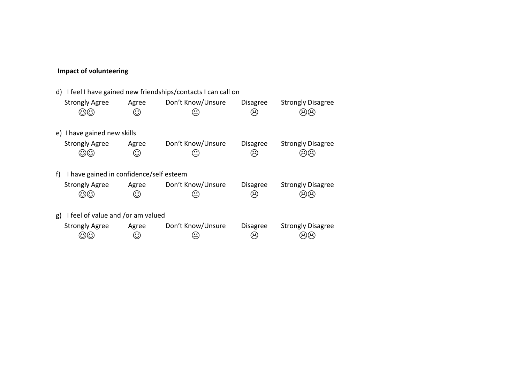# **Impact of volunteering**

|    | d) I feel I have gained new friendships/contacts I can call on |                  |                   |                                        |                          |  |  |
|----|----------------------------------------------------------------|------------------|-------------------|----------------------------------------|--------------------------|--|--|
|    | <b>Strongly Agree</b>                                          | Agree<br>⊙       | Don't Know/Unsure | <b>Disagree</b><br>$\approx$           | <b>Strongly Disagree</b> |  |  |
|    | e) I have gained new skills                                    |                  |                   |                                        |                          |  |  |
|    | <b>Strongly Agree</b>                                          | Agree<br>$\odot$ | Don't Know/Unsure | <b>Disagree</b><br>$\hat{\mathcal{L}}$ | <b>Strongly Disagree</b> |  |  |
| f) | I have gained in confidence/self esteem                        |                  |                   |                                        |                          |  |  |
|    | <b>Strongly Agree</b>                                          | Agree<br>$\odot$ | Don't Know/Unsure | <b>Disagree</b><br>$\hat{\mathcal{L}}$ | <b>Strongly Disagree</b> |  |  |
|    | I feel of value and /or am valued<br>g)                        |                  |                   |                                        |                          |  |  |
|    | <b>Strongly Agree</b>                                          | Agree<br>$\odot$ | Don't Know/Unsure | <b>Disagree</b>                        | <b>Strongly Disagree</b> |  |  |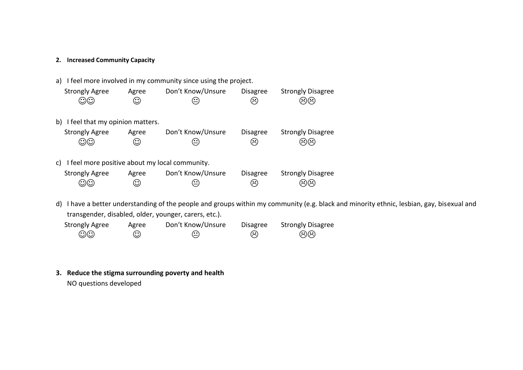### **2. Increased Community Capacity**

| I feel more involved in my community since using the project.<br>a)                                |       |                   |                     |                          |  |  |  |
|----------------------------------------------------------------------------------------------------|-------|-------------------|---------------------|--------------------------|--|--|--|
| <b>Strongly Agree</b><br>Don't Know/Unsure<br><b>Strongly Disagree</b><br><b>Disagree</b><br>Agree |       |                   |                     |                          |  |  |  |
| $\odot\odot$                                                                                       | ☺     | $\hat{\cdot}$     | $\hat{\mathcal{C}}$ | තග                       |  |  |  |
|                                                                                                    |       |                   |                     |                          |  |  |  |
| I feel that my opinion matters.<br>b)                                                              |       |                   |                     |                          |  |  |  |
| <b>Strongly Agree</b>                                                                              | Agree | Don't Know/Unsure | <b>Disagree</b>     | <b>Strongly Disagree</b> |  |  |  |
| $\odot\odot$                                                                                       | ☺     | $\hat{\cdot}$     | $\hat{\mathcal{C}}$ | $\ddot{z}$ ) $\ddot{z}$  |  |  |  |
|                                                                                                    |       |                   |                     |                          |  |  |  |
| I feel more positive about my local community.<br>C)                                               |       |                   |                     |                          |  |  |  |
| <b>Strongly Agree</b>                                                                              | Agree | Don't Know/Unsure | <b>Disagree</b>     | <b>Strongly Disagree</b> |  |  |  |
|                                                                                                    | ☺     | ≝                 | $\sim$              |                          |  |  |  |
|                                                                                                    |       |                   |                     |                          |  |  |  |

d) I have a better understanding of the people and groups within my community (e.g. black and minority ethnic, lesbian, gay, bisexual and transgender, disabled, older, younger, carers, etc.).

| <b>Strongly Agree</b> | Agree   | Don't Know/Unsure | <b>Disagree</b>            | <b>Strongly Disagree</b> |
|-----------------------|---------|-------------------|----------------------------|--------------------------|
| $\odot\odot$          | $\odot$ | $\odot$           | $\left(\ddot{\sim}\right)$ | මම                       |

**3. Reduce the stigma surrounding poverty and health** 

NO questions developed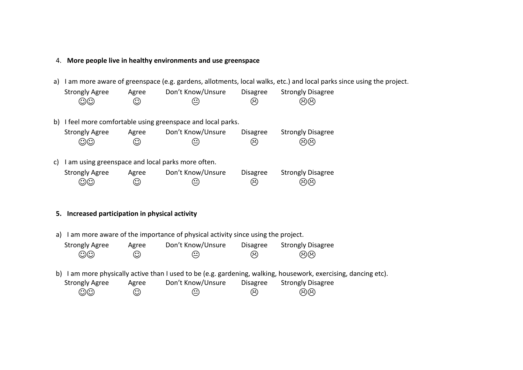### 4. **More people live in healthy environments and use greenspace**

a) I am more aware of greenspace (e.g. gardens, allotments, local walks, etc.) and local parks since using the project.

| <b>Strongly Agree</b> | Agree   | Don't Know/Unsure | Disagree                   | <b>Strongly Disagree</b> |
|-----------------------|---------|-------------------|----------------------------|--------------------------|
| $\odot$ O             | $\odot$ | $\odot$           | $\left(\ddot{\sim}\right)$ | ශිශි                     |

b) I feel more comfortable using greenspace and local parks.

| <b>Strongly Agree</b> | Agree   | Don't Know/Unsure | <b>Disagree</b> | <b>Strongly Disagree</b> |
|-----------------------|---------|-------------------|-----------------|--------------------------|
| $\odot$               | $\odot$ | $\odot$           | $\odot$         | මම                       |

c) I am using greenspace and local parks more often.

| <b>Strongly Agree</b> | Agree   | Don't Know/Unsure    | Disagree                   | <b>Strongly Disagree</b> |
|-----------------------|---------|----------------------|----------------------------|--------------------------|
| $\odot\odot$          | $\odot$ | $\left(\cdot\right)$ | $\left(\ddot{\sim}\right)$ | මම                       |

### **5. Increased participation in physical activity**

a) I am more aware of the importance of physical activity since using the project.

| <b>Strongly Agree</b><br>$\odot$ ා | Agree<br>☺ | Don't Know/Unsure<br>⊙ | <b>Disagree</b><br>ణ | <b>Strongly Disagree</b><br>ශශ                                                                               |
|------------------------------------|------------|------------------------|----------------------|--------------------------------------------------------------------------------------------------------------|
| b)                                 |            |                        |                      | I am more physically active than I used to be (e.g. gardening, walking, housework, exercising, dancing etc). |
| <b>Strongly Agree</b>              | Agree      | Don't Know/Unsure      | <b>Disagree</b>      | <b>Strongly Disagree</b>                                                                                     |
| $\odot$ ා                          | ☺          | ⊙                      | ణ                    | ශශ                                                                                                           |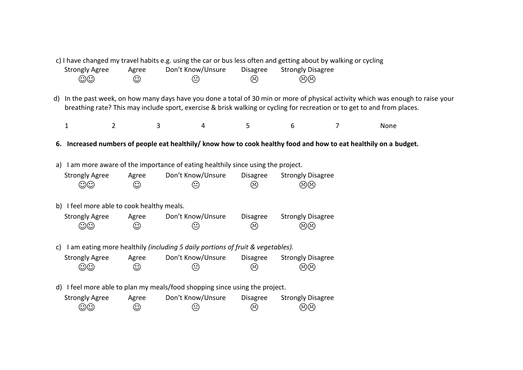|                                            |                | c) I have changed my travel habits e.g. using the car or bus less often and getting about by walking or cycling |                 |                          |                |                                                                                                                                |  |
|--------------------------------------------|----------------|-----------------------------------------------------------------------------------------------------------------|-----------------|--------------------------|----------------|--------------------------------------------------------------------------------------------------------------------------------|--|
| <b>Strongly Agree</b>                      | Agree          | Don't Know/Unsure                                                                                               | <b>Disagree</b> | <b>Strongly Disagree</b> |                |                                                                                                                                |  |
| $\odot\odot$                               | ☺              | ☺                                                                                                               | ☺               | ගිගි                     |                |                                                                                                                                |  |
|                                            |                |                                                                                                                 |                 |                          |                |                                                                                                                                |  |
| d)                                         |                |                                                                                                                 |                 |                          |                | In the past week, on how many days have you done a total of 30 min or more of physical activity which was enough to raise your |  |
|                                            |                |                                                                                                                 |                 |                          |                | breathing rate? This may include sport, exercise & brisk walking or cycling for recreation or to get to and from places.       |  |
|                                            |                |                                                                                                                 |                 |                          |                |                                                                                                                                |  |
| $\mathbf{1}$                               | $\overline{2}$ | 3<br>4                                                                                                          | 5               | 6                        | $\overline{7}$ | None                                                                                                                           |  |
|                                            |                |                                                                                                                 |                 |                          |                |                                                                                                                                |  |
|                                            |                |                                                                                                                 |                 |                          |                | 6. Increased numbers of people eat healthily/ know how to cook healthy food and how to eat healthily on a budget.              |  |
|                                            |                |                                                                                                                 |                 |                          |                |                                                                                                                                |  |
|                                            |                | a) I am more aware of the importance of eating healthily since using the project.                               |                 |                          |                |                                                                                                                                |  |
| <b>Strongly Agree</b>                      | Agree          | Don't Know/Unsure                                                                                               | <b>Disagree</b> | <b>Strongly Disagree</b> |                |                                                                                                                                |  |
| $\odot\odot$                               | ☺              | ☺                                                                                                               | ☺               | මම                       |                |                                                                                                                                |  |
|                                            |                |                                                                                                                 |                 |                          |                |                                                                                                                                |  |
| b) I feel more able to cook healthy meals. |                |                                                                                                                 |                 |                          |                |                                                                                                                                |  |
| <b>Strongly Agree</b>                      | Agree          | Don't Know/Unsure                                                                                               | <b>Disagree</b> | <b>Strongly Disagree</b> |                |                                                                                                                                |  |
| $\odot\odot$                               | ☺              | ☺                                                                                                               | ☺               | මම                       |                |                                                                                                                                |  |
|                                            |                |                                                                                                                 |                 |                          |                |                                                                                                                                |  |
|                                            |                |                                                                                                                 |                 |                          |                |                                                                                                                                |  |
| C)                                         |                | I am eating more healthily (including 5 daily portions of fruit & vegetables).                                  |                 |                          |                |                                                                                                                                |  |
| <b>Strongly Agree</b>                      | Agree          | Don't Know/Unsure                                                                                               | <b>Disagree</b> | <b>Strongly Disagree</b> |                |                                                                                                                                |  |
| $\odot\odot$                               | ☺              | ☺                                                                                                               | ☺               | මම                       |                |                                                                                                                                |  |
|                                            |                |                                                                                                                 |                 |                          |                |                                                                                                                                |  |
|                                            |                | d) I feel more able to plan my meals/food shopping since using the project.                                     |                 |                          |                |                                                                                                                                |  |
| <b>Strongly Agree</b>                      | Agree          | Don't Know/Unsure                                                                                               | Disagree        | <b>Strongly Disagree</b> |                |                                                                                                                                |  |
| $\odot\odot$                               | ☺              | ☺                                                                                                               | ☺               | මම                       |                |                                                                                                                                |  |
|                                            |                |                                                                                                                 |                 |                          |                |                                                                                                                                |  |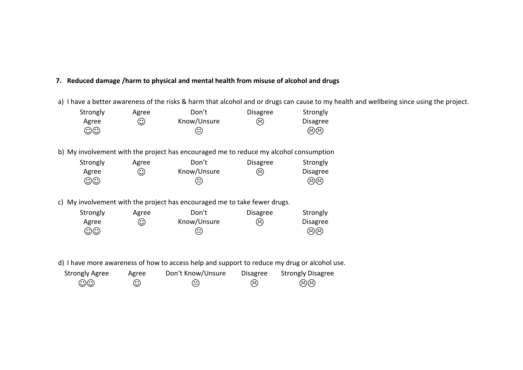## **7. Reduced damage /harm to physical and mental health from misuse of alcohol and drugs**

a) I have a better awareness of the risks & harm that alcohol and or drugs can cause to my health and wellbeing since using the project.

| Strongly              | Agree | Don't                                                                                 | <b>Disagree</b>     | Strongly                                             |
|-----------------------|-------|---------------------------------------------------------------------------------------|---------------------|------------------------------------------------------|
| Agree<br>$\odot\odot$ | ☺     | Know/Unsure<br>Ξ                                                                      | ⊗                   | <b>Disagree</b><br>$\Omega$                          |
|                       |       | b) My involvement with the project has encouraged me to reduce my alcohol consumption |                     |                                                      |
| Strongly              | Agree | Don't                                                                                 | <b>Disagree</b>     | Strongly                                             |
| Agree                 | ☺     | Know/Unsure                                                                           | $\approx$           | <b>Disagree</b>                                      |
| $\odot\odot$          |       |                                                                                       |                     | $\widetilde{\mathfrak{D}}(\widetilde{\mathfrak{D}})$ |
|                       |       | c) My involvement with the project has encouraged me to take fewer drugs.             |                     |                                                      |
| Strongly              | Agree | Don't                                                                                 | <b>Disagree</b>     | Strongly                                             |
| Agree                 | ☺     | Know/Unsure                                                                           | $\hat{\mathcal{C}}$ | <b>Disagree</b>                                      |
| ගග                    |       |                                                                                       |                     |                                                      |
|                       |       |                                                                                       |                     |                                                      |

d) I have more awareness of how to access help and support to reduce my drug or alcohol use.

| <b>Strongly Agree</b> | Agree   | Don't Know/Unsure | Disagree            | <b>Strongly Disagree</b> |
|-----------------------|---------|-------------------|---------------------|--------------------------|
| $\odot\odot$          | $\odot$ | $\odot$           | $\hat{\mathcal{C}}$ | මම                       |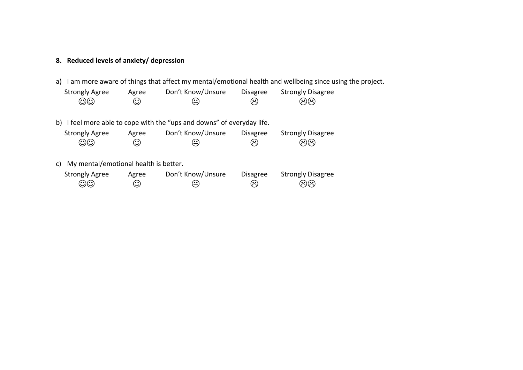# **8. Reduced levels of anxiety/ depression**

a) I am more aware of things that affect my mental/emotional health and wellbeing since using the project.

| <b>Strongly Agree</b>                                                  | Agree   | Don't Know/Unsure | <b>Disagree</b> | <b>Strongly Disagree</b> |  |
|------------------------------------------------------------------------|---------|-------------------|-----------------|--------------------------|--|
| $\odot$ $\odot$                                                        | $\odot$ | $\odot$           | ణ               | ශශ                       |  |
| b) I feel more able to cope with the "ups and downs" of everyday life. |         |                   |                 |                          |  |

| Strongly Agree | Agree | Don't Know/Unsure | <b>Disagree</b> | <b>Strongly Disagree</b> |
|----------------|-------|-------------------|-----------------|--------------------------|
| $\odot\odot$   | ☺     | $\odot$           | $(\ddot{\sim})$ | මම                       |

c) My mental/emotional health is better.

| <b>Strongly Agree</b> | Agree | Don't Know/Unsure | <b>Disagree</b>            | <b>Strongly Disagree</b> |
|-----------------------|-------|-------------------|----------------------------|--------------------------|
| $\odot$               | ⊙     | $\odot$           | $\left(\ddot{\sim}\right)$ | ශිශි                     |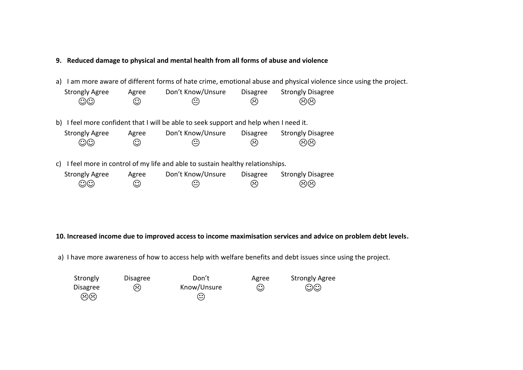### **9. Reduced damage to physical and mental health from all forms of abuse and violence**

a) I am more aware of different forms of hate crime, emotional abuse and physical violence since using the project.

| <b>Strongly Agree</b> | Agree   | Don't Know/Unsure | <b>Disagree</b>            | <b>Strongly Disagree</b> |
|-----------------------|---------|-------------------|----------------------------|--------------------------|
| $\odot$ O             | $\odot$ | $\odot$           | $\left(\ddot{\sim}\right)$ | මම                       |

b) I feel more confident that I will be able to seek support and help when I need it.

| <b>Strongly Agree</b> | Agree   | Don't Know/Unsure          | <b>Disagree</b>            | <b>Strongly Disagree</b> |
|-----------------------|---------|----------------------------|----------------------------|--------------------------|
| $\odot$               | $\odot$ | $\left(\frac{1}{2}\right)$ | $\left(\ddot{\sim}\right)$ | මම                       |

c) I feel more in control of my life and able to sustain healthy relationships.

| <b>Strongly Agree</b> | Agree   | Don't Know/Unsure | <b>Disagree</b> | <b>Strongly Disagree</b> |
|-----------------------|---------|-------------------|-----------------|--------------------------|
| $\odot$ $\odot$       | $\odot$ | $\odot$           | $\odot$         | ගිගි                     |

**10. Increased income due to improved access to income maximisation services and advice on problem debt levels.**

a) I have more awareness of how to access help with welfare benefits and debt issues since using the project.

| Strongly | <b>Disagree</b> | Don't       | Agree | <b>Strongly Agree</b> |
|----------|-----------------|-------------|-------|-----------------------|
| Disagree | $(\ddot{\sim})$ | Know/Unsure | ⊙     | $\odot\odot$          |
| ශශ       |                 | $\odot$     |       |                       |